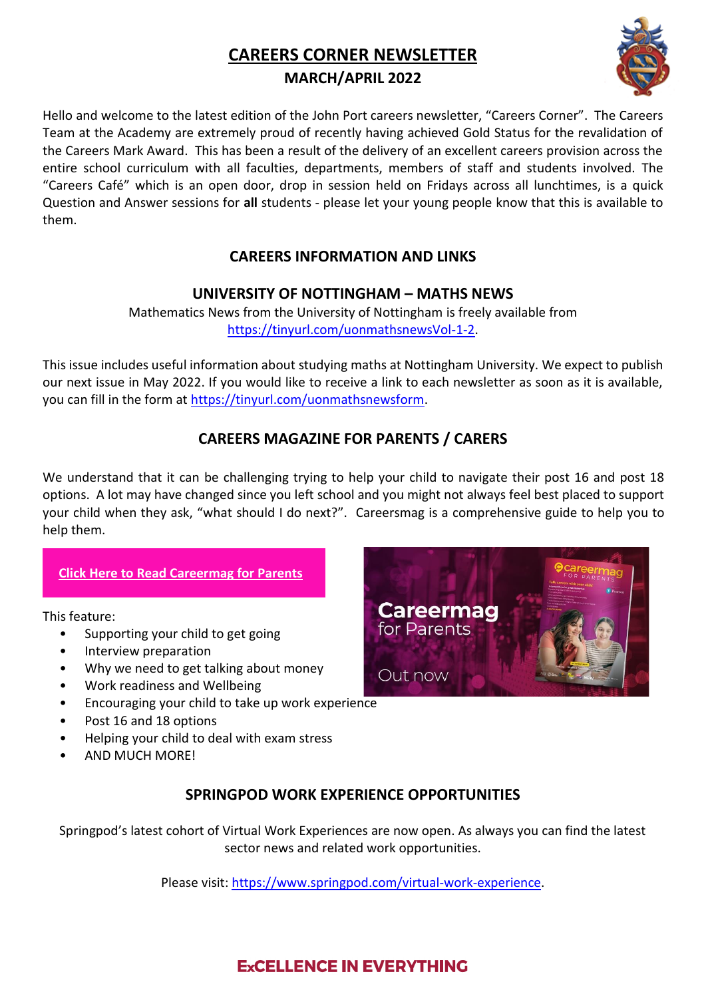# **CAREERS CORNER NEWSLETTER**

### **MARCH/APRIL 2022**



Hello and welcome to the latest edition of the John Port careers newsletter, "Careers Corner". The Careers Team at the Academy are extremely proud of recently having achieved Gold Status for the revalidation of the Careers Mark Award. This has been a result of the delivery of an excellent careers provision across the entire school curriculum with all faculties, departments, members of staff and students involved. The "Careers Café" which is an open door, drop in session held on Fridays across all lunchtimes, is a quick Question and Answer sessions for **all** students - please let your young people know that this is available to them.

### **CAREERS INFORMATION AND LINKS**

### **UNIVERSITY OF NOTTINGHAM – MATHS NEWS**

Mathematics News from the University of Nottingham is freely available from [https://tinyurl.com/uonmathsnewsVol-1-2.](https://tinyurl.com/uonmathsnewsVol-1-2)

This issue includes useful information about studying maths at Nottingham University. We expect to publish our next issue in May 2022. If you would like to receive a link to each newsletter as soon as it is available, you can fill in the form at [https://tinyurl.com/uonmathsnewsform.](https://tinyurl.com/uonmathsnewsform)

### **CAREERS MAGAZINE FOR PARENTS / CARERS**

We understand that it can be challenging trying to help your child to navigate their post 16 and post 18 options. A lot may have changed since you left school and you might not always feel best placed to support your child when they ask, "what should I do next?". Careersmag is a comprehensive guide to help you to help them.

### **[Click Here to Read Careermag for Parents](https://careermap.us7.list-manage.com/track/click?u=ad6ea66c62b50396e776ca853&id=ffbc1bbc8c&e=7a150a156d)**

This feature:

- Supporting your child to get going
- Interview preparation
- Why we need to get talking about money
- Work readiness and Wellbeing
- Encouraging your child to take up work experience
- Post 16 and 18 options
- Helping your child to deal with exam stress
- AND MUCH MORE!



## **SPRINGPOD WORK EXPERIENCE OPPORTUNITIES**

Springpod's latest cohort of Virtual Work Experiences are now open. As always you can find the latest sector news and related work opportunities.

Please visit: [https://www.springpod.com/virtual-work-experience.](https://www.springpod.com/virtual-work-experience)

## **ExCELLENCE IN EVERYTHING**